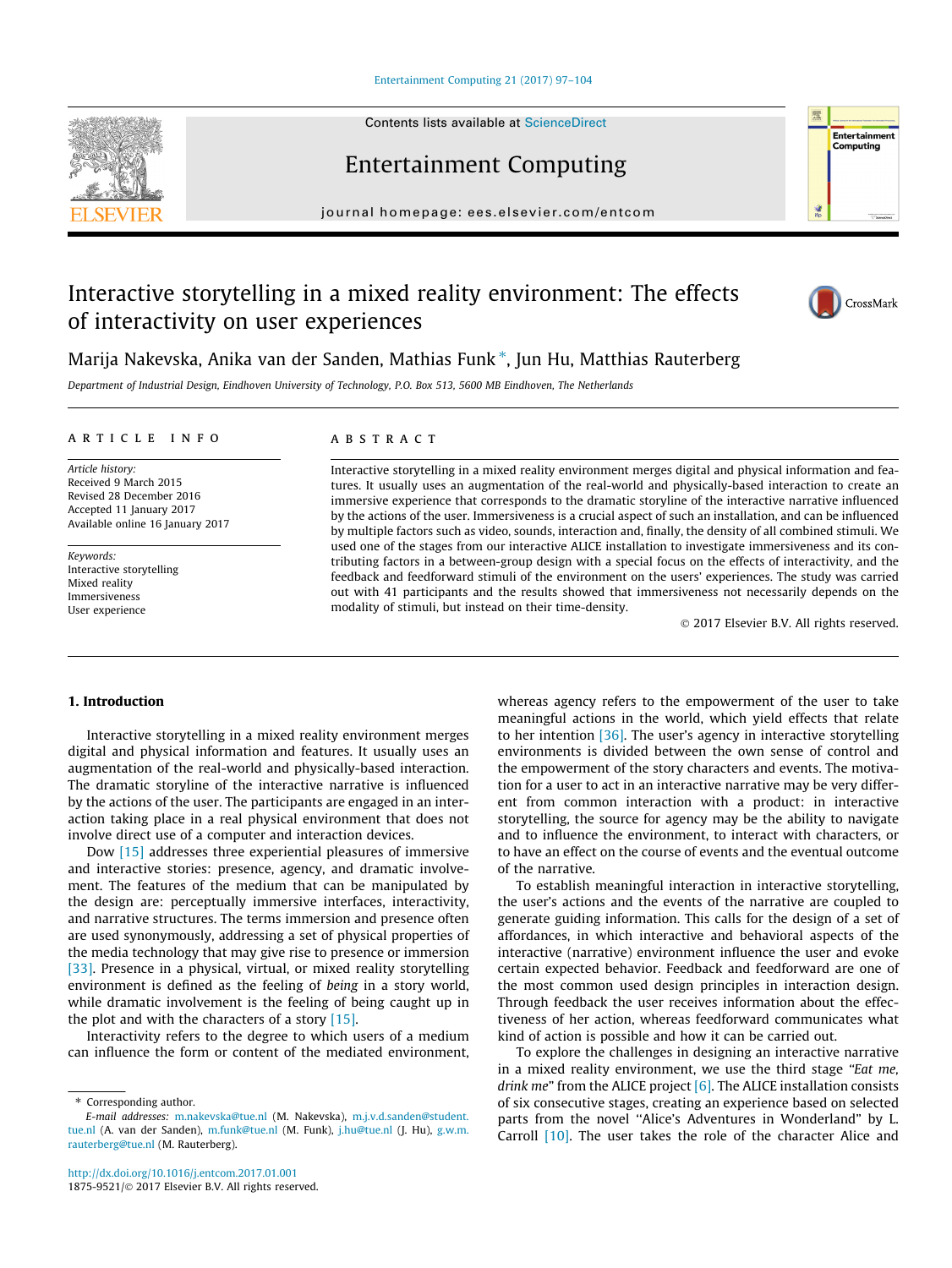#### [Entertainment Computing 21 \(2017\) 97–104](http://dx.doi.org/10.1016/j.entcom.2017.01.001)

Entertainment Computing

journal homepage: [ees.elsevier.com/entcom](http://ees.elsevier.com/entcom)

# Interactive storytelling in a mixed reality environment: The effects of interactivity on user experiences



Entertainment Computing

Marija Nakevska, Anika van der Sanden, Mathias Funk\*, Jun Hu, Matthias Rauterberg

Department of Industrial Design, Eindhoven University of Technology, P.O. Box 513, 5600 MB Eindhoven, The Netherlands

## article info

Article history: Received 9 March 2015 Revised 28 December 2016 Accepted 11 January 2017 Available online 16 January 2017

Keywords: Interactive storytelling Mixed reality Immersiveness User experience

## A B S T R A C T

Interactive storytelling in a mixed reality environment merges digital and physical information and features. It usually uses an augmentation of the real-world and physically-based interaction to create an immersive experience that corresponds to the dramatic storyline of the interactive narrative influenced by the actions of the user. Immersiveness is a crucial aspect of such an installation, and can be influenced by multiple factors such as video, sounds, interaction and, finally, the density of all combined stimuli. We used one of the stages from our interactive ALICE installation to investigate immersiveness and its contributing factors in a between-group design with a special focus on the effects of interactivity, and the feedback and feedforward stimuli of the environment on the users' experiences. The study was carried out with 41 participants and the results showed that immersiveness not necessarily depends on the modality of stimuli, but instead on their time-density.

2017 Elsevier B.V. All rights reserved.

## 1. Introduction

Interactive storytelling in a mixed reality environment merges digital and physical information and features. It usually uses an augmentation of the real-world and physically-based interaction. The dramatic storyline of the interactive narrative is influenced by the actions of the user. The participants are engaged in an interaction taking place in a real physical environment that does not involve direct use of a computer and interaction devices.

Dow [\[15\]](#page-6-0) addresses three experiential pleasures of immersive and interactive stories: presence, agency, and dramatic involvement. The features of the medium that can be manipulated by the design are: perceptually immersive interfaces, interactivity, and narrative structures. The terms immersion and presence often are used synonymously, addressing a set of physical properties of the media technology that may give rise to presence or immersion [\[33\].](#page-7-0) Presence in a physical, virtual, or mixed reality storytelling environment is defined as the feeling of being in a story world, while dramatic involvement is the feeling of being caught up in the plot and with the characters of a story  $[15]$ .

Interactivity refers to the degree to which users of a medium can influence the form or content of the mediated environment, whereas agency refers to the empowerment of the user to take meaningful actions in the world, which yield effects that relate to her intention [\[36\].](#page-7-0) The user's agency in interactive storytelling environments is divided between the own sense of control and the empowerment of the story characters and events. The motivation for a user to act in an interactive narrative may be very different from common interaction with a product: in interactive storytelling, the source for agency may be the ability to navigate and to influence the environment, to interact with characters, or to have an effect on the course of events and the eventual outcome of the narrative.

To establish meaningful interaction in interactive storytelling, the user's actions and the events of the narrative are coupled to generate guiding information. This calls for the design of a set of affordances, in which interactive and behavioral aspects of the interactive (narrative) environment influence the user and evoke certain expected behavior. Feedback and feedforward are one of the most common used design principles in interaction design. Through feedback the user receives information about the effectiveness of her action, whereas feedforward communicates what kind of action is possible and how it can be carried out.

To explore the challenges in designing an interactive narrative in a mixed reality environment, we use the third stage "Eat me, drink me" from the ALICE project  $[6]$ . The ALICE installation consists of six consecutive stages, creating an experience based on selected parts from the novel ''Alice's Adventures in Wonderland" by L. Carroll [\[10\]](#page-6-0). The user takes the role of the character Alice and

<sup>⇑</sup> Corresponding author. E-mail addresses: [m.nakevska@tue.nl](mailto:m.nakevska@tue.nl) (M. Nakevska), [m.j.v.d.sanden@student.](mailto:m.j.v.d.sanden@student.tue.nl) [tue.nl](mailto:m.j.v.d.sanden@student.tue.nl) (A. van der Sanden), [m.funk@tue.nl](mailto:m.funk@tue.nl) (M. Funk), [j.hu@tue.nl](mailto:j.hu@tue.nl) (J. Hu), [g.w.m.](mailto:g.w.m.rauterberg@tue.nl) [rauterberg@tue.nl](mailto:g.w.m.rauterberg@tue.nl) (M. Rauterberg).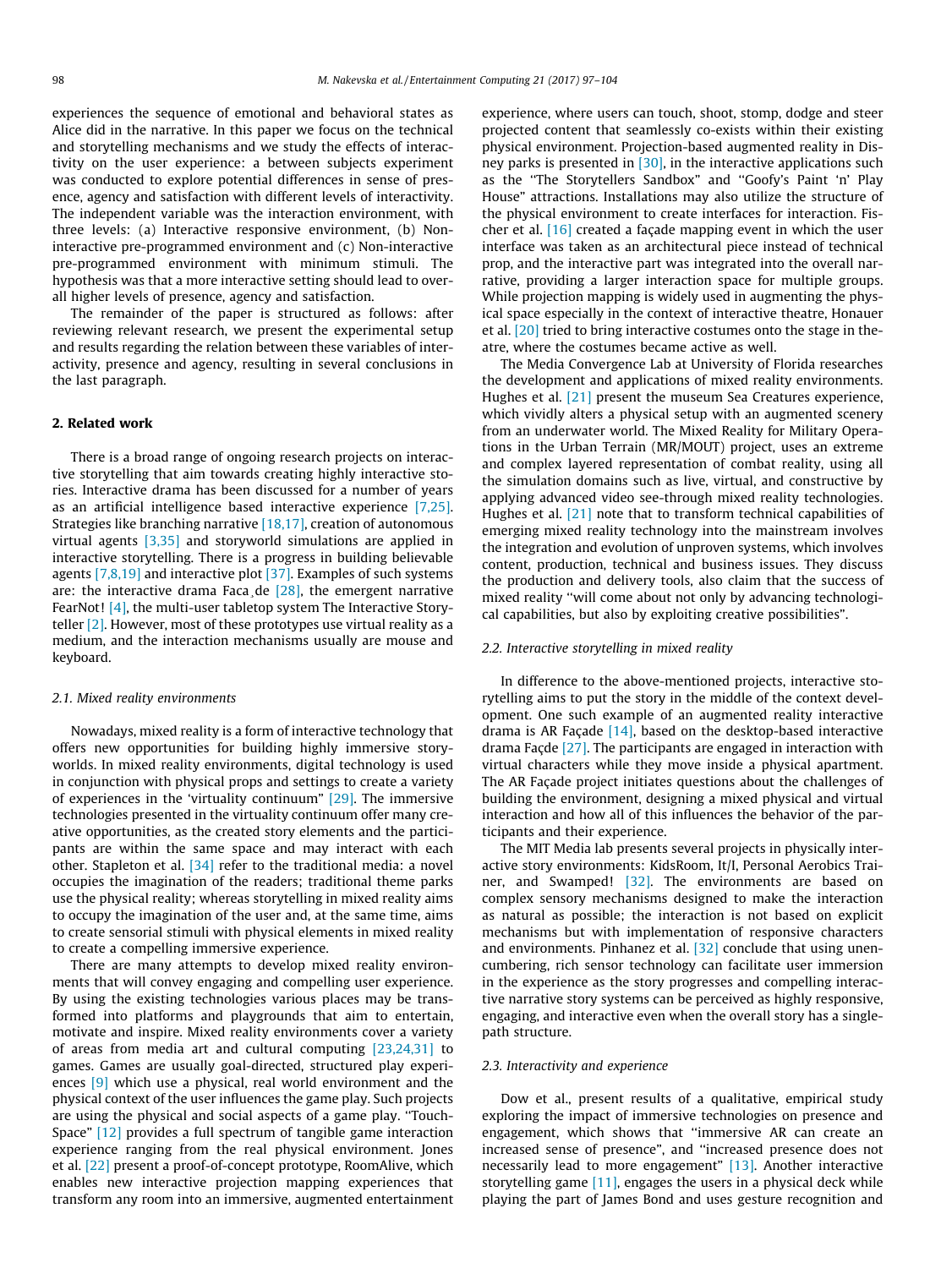experiences the sequence of emotional and behavioral states as Alice did in the narrative. In this paper we focus on the technical and storytelling mechanisms and we study the effects of interactivity on the user experience: a between subjects experiment was conducted to explore potential differences in sense of presence, agency and satisfaction with different levels of interactivity. The independent variable was the interaction environment, with three levels: (a) Interactive responsive environment, (b) Noninteractive pre-programmed environment and (c) Non-interactive pre-programmed environment with minimum stimuli. The hypothesis was that a more interactive setting should lead to overall higher levels of presence, agency and satisfaction.

The remainder of the paper is structured as follows: after reviewing relevant research, we present the experimental setup and results regarding the relation between these variables of interactivity, presence and agency, resulting in several conclusions in the last paragraph.

# 2. Related work

There is a broad range of ongoing research projects on interactive storytelling that aim towards creating highly interactive stories. Interactive drama has been discussed for a number of years as an artificial intelligence based interactive experience [\[7,25\].](#page-6-0) Strategies like branching narrative  $[18,17]$ , creation of autonomous virtual agents [\[3,35\]](#page-6-0) and storyworld simulations are applied in interactive storytelling. There is a progress in building believable agents [\[7,8,19\]](#page-6-0) and interactive plot [\[37\].](#page-7-0) Examples of such systems are: the interactive drama Faca de  $[28]$ , the emergent narrative FearNot! [\[4\]](#page-6-0), the multi-user tabletop system The Interactive Storyteller  $[2]$ . However, most of these prototypes use virtual reality as a medium, and the interaction mechanisms usually are mouse and keyboard.

#### 2.1. Mixed reality environments

Nowadays, mixed reality is a form of interactive technology that offers new opportunities for building highly immersive storyworlds. In mixed reality environments, digital technology is used in conjunction with physical props and settings to create a variety of experiences in the 'virtuality continuum" [\[29\]](#page-7-0). The immersive technologies presented in the virtuality continuum offer many creative opportunities, as the created story elements and the participants are within the same space and may interact with each other. Stapleton et al. [\[34\]](#page-7-0) refer to the traditional media: a novel occupies the imagination of the readers; traditional theme parks use the physical reality; whereas storytelling in mixed reality aims to occupy the imagination of the user and, at the same time, aims to create sensorial stimuli with physical elements in mixed reality to create a compelling immersive experience.

There are many attempts to develop mixed reality environments that will convey engaging and compelling user experience. By using the existing technologies various places may be transformed into platforms and playgrounds that aim to entertain, motivate and inspire. Mixed reality environments cover a variety of areas from media art and cultural computing [\[23,24,31\]](#page-7-0) to games. Games are usually goal-directed, structured play experiences [\[9\]](#page-6-0) which use a physical, real world environment and the physical context of the user influences the game play. Such projects are using the physical and social aspects of a game play. ''Touch-Space" [\[12\]](#page-6-0) provides a full spectrum of tangible game interaction experience ranging from the real physical environment. Jones et al. [\[22\]](#page-7-0) present a proof-of-concept prototype, RoomAlive, which enables new interactive projection mapping experiences that transform any room into an immersive, augmented entertainment experience, where users can touch, shoot, stomp, dodge and steer projected content that seamlessly co-exists within their existing physical environment. Projection-based augmented reality in Disney parks is presented in  $[30]$ , in the interactive applications such as the ''The Storytellers Sandbox" and ''Goofy's Paint 'n' Play House" attractions. Installations may also utilize the structure of the physical environment to create interfaces for interaction. Fischer et al. [\[16\]](#page-6-0) created a façade mapping event in which the user interface was taken as an architectural piece instead of technical prop, and the interactive part was integrated into the overall narrative, providing a larger interaction space for multiple groups. While projection mapping is widely used in augmenting the physical space especially in the context of interactive theatre, Honauer et al. [\[20\]](#page-7-0) tried to bring interactive costumes onto the stage in theatre, where the costumes became active as well.

The Media Convergence Lab at University of Florida researches the development and applications of mixed reality environments. Hughes et al. [\[21\]](#page-7-0) present the museum Sea Creatures experience, which vividly alters a physical setup with an augmented scenery from an underwater world. The Mixed Reality for Military Operations in the Urban Terrain (MR/MOUT) project, uses an extreme and complex layered representation of combat reality, using all the simulation domains such as live, virtual, and constructive by applying advanced video see-through mixed reality technologies. Hughes et al. [\[21\]](#page-7-0) note that to transform technical capabilities of emerging mixed reality technology into the mainstream involves the integration and evolution of unproven systems, which involves content, production, technical and business issues. They discuss the production and delivery tools, also claim that the success of mixed reality ''will come about not only by advancing technological capabilities, but also by exploiting creative possibilities".

#### 2.2. Interactive storytelling in mixed reality

In difference to the above-mentioned projects, interactive storytelling aims to put the story in the middle of the context development. One such example of an augmented reality interactive drama is AR Façade  $[14]$ , based on the desktop-based interactive drama Façde [\[27\]](#page-7-0). The participants are engaged in interaction with virtual characters while they move inside a physical apartment. The AR Façade project initiates questions about the challenges of building the environment, designing a mixed physical and virtual interaction and how all of this influences the behavior of the participants and their experience.

The MIT Media lab presents several projects in physically interactive story environments: KidsRoom, It/I, Personal Aerobics Trainer, and Swamped! [\[32\].](#page-7-0) The environments are based on complex sensory mechanisms designed to make the interaction as natural as possible; the interaction is not based on explicit mechanisms but with implementation of responsive characters and environments. Pinhanez et al.  $[32]$  conclude that using unencumbering, rich sensor technology can facilitate user immersion in the experience as the story progresses and compelling interactive narrative story systems can be perceived as highly responsive, engaging, and interactive even when the overall story has a singlepath structure.

#### 2.3. Interactivity and experience

Dow et al., present results of a qualitative, empirical study exploring the impact of immersive technologies on presence and engagement, which shows that ''immersive AR can create an increased sense of presence", and ''increased presence does not necessarily lead to more engagement" [\[13\].](#page-6-0) Another interactive storytelling game  $[11]$ , engages the users in a physical deck while playing the part of James Bond and uses gesture recognition and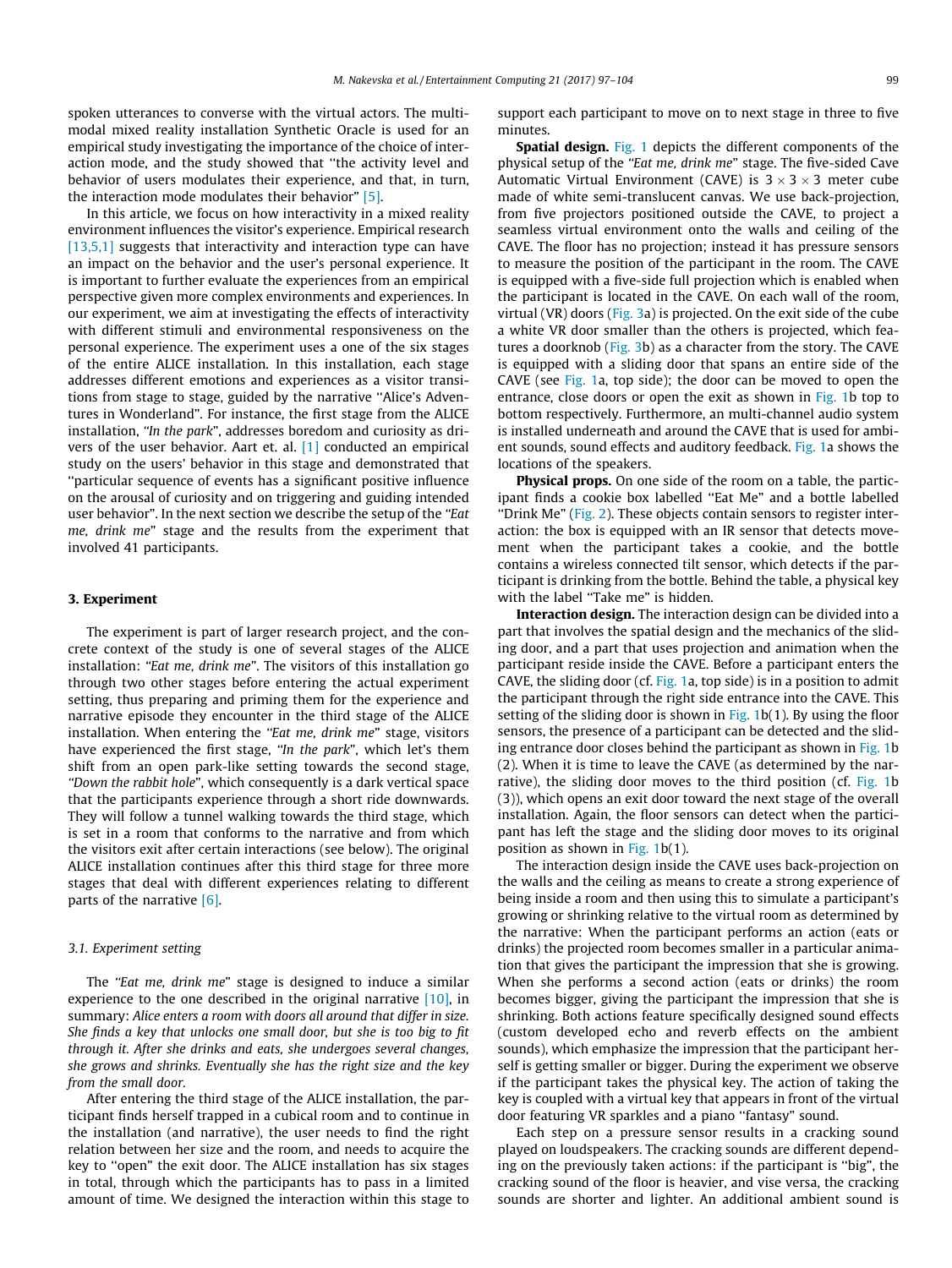spoken utterances to converse with the virtual actors. The multimodal mixed reality installation Synthetic Oracle is used for an empirical study investigating the importance of the choice of interaction mode, and the study showed that ''the activity level and behavior of users modulates their experience, and that, in turn, the interaction mode modulates their behavior" [\[5\]](#page-6-0).

In this article, we focus on how interactivity in a mixed reality environment influences the visitor's experience. Empirical research [\[13,5,1\]](#page-6-0) suggests that interactivity and interaction type can have an impact on the behavior and the user's personal experience. It is important to further evaluate the experiences from an empirical perspective given more complex environments and experiences. In our experiment, we aim at investigating the effects of interactivity with different stimuli and environmental responsiveness on the personal experience. The experiment uses a one of the six stages of the entire ALICE installation. In this installation, each stage addresses different emotions and experiences as a visitor transitions from stage to stage, guided by the narrative ''Alice's Adventures in Wonderland". For instance, the first stage from the ALICE installation, "In the park", addresses boredom and curiosity as drivers of the user behavior. Aart et. al. [\[1\]](#page-6-0) conducted an empirical study on the users' behavior in this stage and demonstrated that ''particular sequence of events has a significant positive influence on the arousal of curiosity and on triggering and guiding intended user behavior". In the next section we describe the setup of the "Eat me, drink me" stage and the results from the experiment that involved 41 participants.

## 3. Experiment

The experiment is part of larger research project, and the concrete context of the study is one of several stages of the ALICE installation: "Eat me, drink me". The visitors of this installation go through two other stages before entering the actual experiment setting, thus preparing and priming them for the experience and narrative episode they encounter in the third stage of the ALICE installation. When entering the "Eat me, drink me" stage, visitors have experienced the first stage, "In the park", which let's them shift from an open park-like setting towards the second stage, ''Down the rabbit hole", which consequently is a dark vertical space that the participants experience through a short ride downwards. They will follow a tunnel walking towards the third stage, which is set in a room that conforms to the narrative and from which the visitors exit after certain interactions (see below). The original ALICE installation continues after this third stage for three more stages that deal with different experiences relating to different parts of the narrative [\[6\].](#page-6-0)

#### 3.1. Experiment setting

The "Eat me, drink me" stage is designed to induce a similar experience to the one described in the original narrative [\[10\]](#page-6-0), in summary: Alice enters a room with doors all around that differ in size. She finds a key that unlocks one small door, but she is too big to fit through it. After she drinks and eats, she undergoes several changes, she grows and shrinks. Eventually she has the right size and the key from the small door.

After entering the third stage of the ALICE installation, the participant finds herself trapped in a cubical room and to continue in the installation (and narrative), the user needs to find the right relation between her size and the room, and needs to acquire the key to ''open" the exit door. The ALICE installation has six stages in total, through which the participants has to pass in a limited amount of time. We designed the interaction within this stage to

support each participant to move on to next stage in three to five minutes.

**Spatial design.** [Fig. 1](#page-3-0) depicts the different components of the physical setup of the "Eat me, drink me" stage. The five-sided Cave Automatic Virtual Environment (CAVE) is  $3 \times 3 \times 3$  meter cube made of white semi-translucent canvas. We use back-projection, from five projectors positioned outside the CAVE, to project a seamless virtual environment onto the walls and ceiling of the CAVE. The floor has no projection; instead it has pressure sensors to measure the position of the participant in the room. The CAVE is equipped with a five-side full projection which is enabled when the participant is located in the CAVE. On each wall of the room, virtual (VR) doors [\(Fig. 3](#page-4-0)a) is projected. On the exit side of the cube a white VR door smaller than the others is projected, which features a doorknob ([Fig. 3b](#page-4-0)) as a character from the story. The CAVE is equipped with a sliding door that spans an entire side of the CAVE (see [Fig. 1a](#page-3-0), top side); the door can be moved to open the entrance, close doors or open the exit as shown in [Fig. 1](#page-3-0)b top to bottom respectively. Furthermore, an multi-channel audio system is installed underneath and around the CAVE that is used for ambient sounds, sound effects and auditory feedback. [Fig. 1a](#page-3-0) shows the locations of the speakers.

Physical props. On one side of the room on a table, the participant finds a cookie box labelled ''Eat Me" and a bottle labelled "Drink Me" [\(Fig. 2\)](#page-3-0). These objects contain sensors to register interaction: the box is equipped with an IR sensor that detects movement when the participant takes a cookie, and the bottle contains a wireless connected tilt sensor, which detects if the participant is drinking from the bottle. Behind the table, a physical key with the label "Take me" is hidden.

Interaction design. The interaction design can be divided into a part that involves the spatial design and the mechanics of the sliding door, and a part that uses projection and animation when the participant reside inside the CAVE. Before a participant enters the CAVE, the sliding door (cf. [Fig. 1a](#page-3-0), top side) is in a position to admit the participant through the right side entrance into the CAVE. This setting of the sliding door is shown in  $Fig. 1b(1)$  $Fig. 1b(1)$ . By using the floor sensors, the presence of a participant can be detected and the sliding entrance door closes behind the participant as shown in [Fig. 1b](#page-3-0) (2). When it is time to leave the CAVE (as determined by the narrative), the sliding door moves to the third position (cf. [Fig. 1b](#page-3-0) (3)), which opens an exit door toward the next stage of the overall installation. Again, the floor sensors can detect when the participant has left the stage and the sliding door moves to its original position as shown in [Fig. 1b](#page-3-0)(1).

The interaction design inside the CAVE uses back-projection on the walls and the ceiling as means to create a strong experience of being inside a room and then using this to simulate a participant's growing or shrinking relative to the virtual room as determined by the narrative: When the participant performs an action (eats or drinks) the projected room becomes smaller in a particular animation that gives the participant the impression that she is growing. When she performs a second action (eats or drinks) the room becomes bigger, giving the participant the impression that she is shrinking. Both actions feature specifically designed sound effects (custom developed echo and reverb effects on the ambient sounds), which emphasize the impression that the participant herself is getting smaller or bigger. During the experiment we observe if the participant takes the physical key. The action of taking the key is coupled with a virtual key that appears in front of the virtual door featuring VR sparkles and a piano "fantasy" sound.

Each step on a pressure sensor results in a cracking sound played on loudspeakers. The cracking sounds are different depending on the previously taken actions: if the participant is ''big", the cracking sound of the floor is heavier, and vise versa, the cracking sounds are shorter and lighter. An additional ambient sound is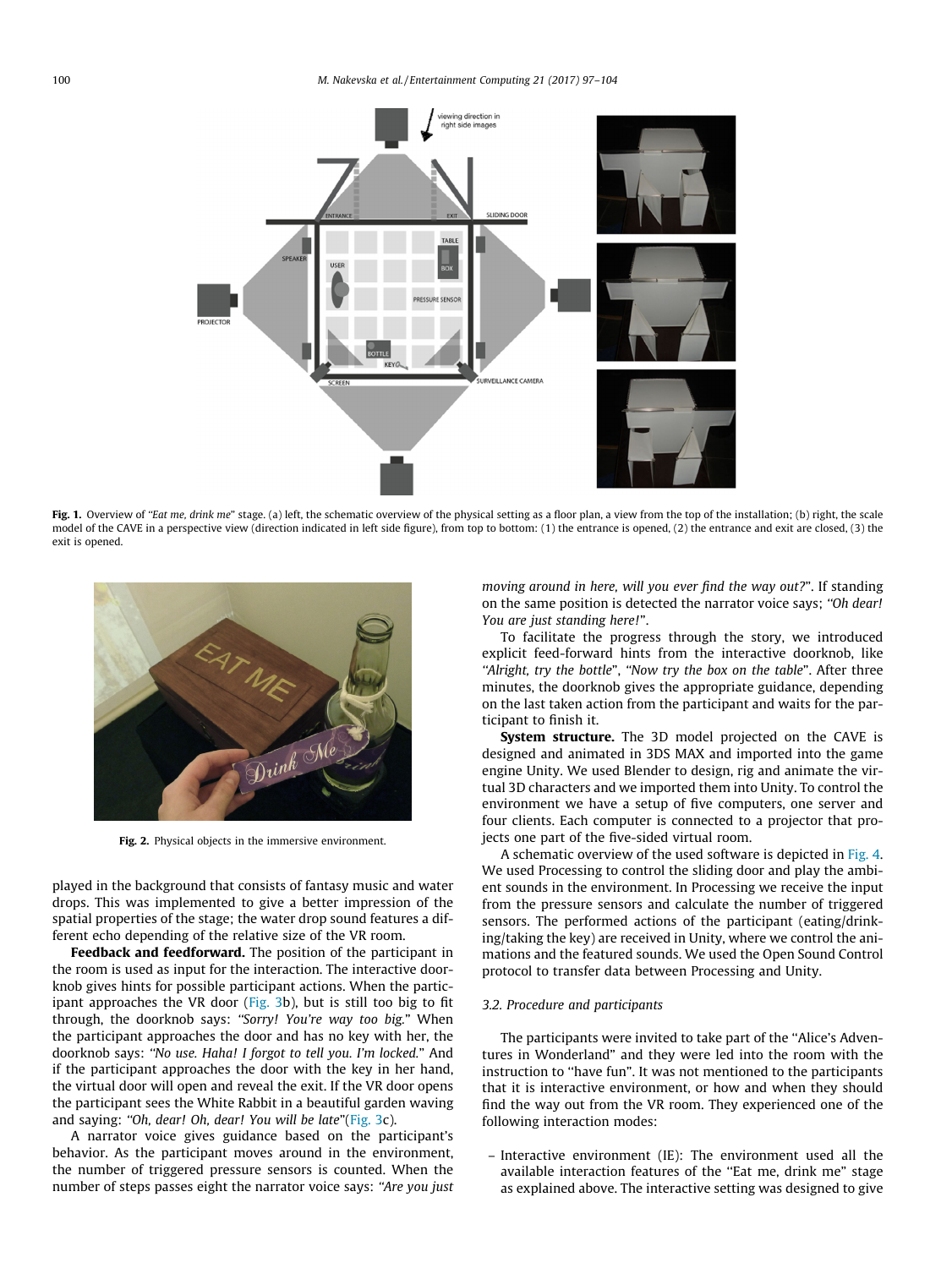<span id="page-3-0"></span>

Fig. 1. Overview of "Eat me, drink me" stage. (a) left, the schematic overview of the physical setting as a floor plan, a view from the top of the installation; (b) right, the scale model of the CAVE in a perspective view (direction indicated in left side figure), from top to bottom: (1) the entrance is opened, (2) the entrance and exit are closed, (3) the exit is opened.



Fig. 2. Physical objects in the immersive environment.

played in the background that consists of fantasy music and water drops. This was implemented to give a better impression of the spatial properties of the stage; the water drop sound features a different echo depending of the relative size of the VR room.

Feedback and feedforward. The position of the participant in the room is used as input for the interaction. The interactive doorknob gives hints for possible participant actions. When the participant approaches the VR door ([Fig. 3b](#page-4-0)), but is still too big to fit through, the doorknob says: ''Sorry! You're way too big." When the participant approaches the door and has no key with her, the doorknob says: ''No use. Haha! I forgot to tell you. I'm locked." And if the participant approaches the door with the key in her hand, the virtual door will open and reveal the exit. If the VR door opens the participant sees the White Rabbit in a beautiful garden waving and saying: "Oh, dear! Oh, dear! You will be late"[\(Fig. 3c](#page-4-0)).

A narrator voice gives guidance based on the participant's behavior. As the participant moves around in the environment, the number of triggered pressure sensors is counted. When the number of steps passes eight the narrator voice says: "Are you just moving around in here, will you ever find the way out?". If standing on the same position is detected the narrator voice says; ''Oh dear! You are just standing here!".

To facilitate the progress through the story, we introduced explicit feed-forward hints from the interactive doorknob, like "Alright, try the bottle", "Now try the box on the table". After three minutes, the doorknob gives the appropriate guidance, depending on the last taken action from the participant and waits for the participant to finish it.

System structure. The 3D model projected on the CAVE is designed and animated in 3DS MAX and imported into the game engine Unity. We used Blender to design, rig and animate the virtual 3D characters and we imported them into Unity. To control the environment we have a setup of five computers, one server and four clients. Each computer is connected to a projector that projects one part of the five-sided virtual room.

A schematic overview of the used software is depicted in [Fig. 4.](#page-4-0) We used Processing to control the sliding door and play the ambient sounds in the environment. In Processing we receive the input from the pressure sensors and calculate the number of triggered sensors. The performed actions of the participant (eating/drinking/taking the key) are received in Unity, where we control the animations and the featured sounds. We used the Open Sound Control protocol to transfer data between Processing and Unity.

#### 3.2. Procedure and participants

The participants were invited to take part of the ''Alice's Adventures in Wonderland" and they were led into the room with the instruction to ''have fun". It was not mentioned to the participants that it is interactive environment, or how and when they should find the way out from the VR room. They experienced one of the following interaction modes:

– Interactive environment (IE): The environment used all the available interaction features of the ''Eat me, drink me" stage as explained above. The interactive setting was designed to give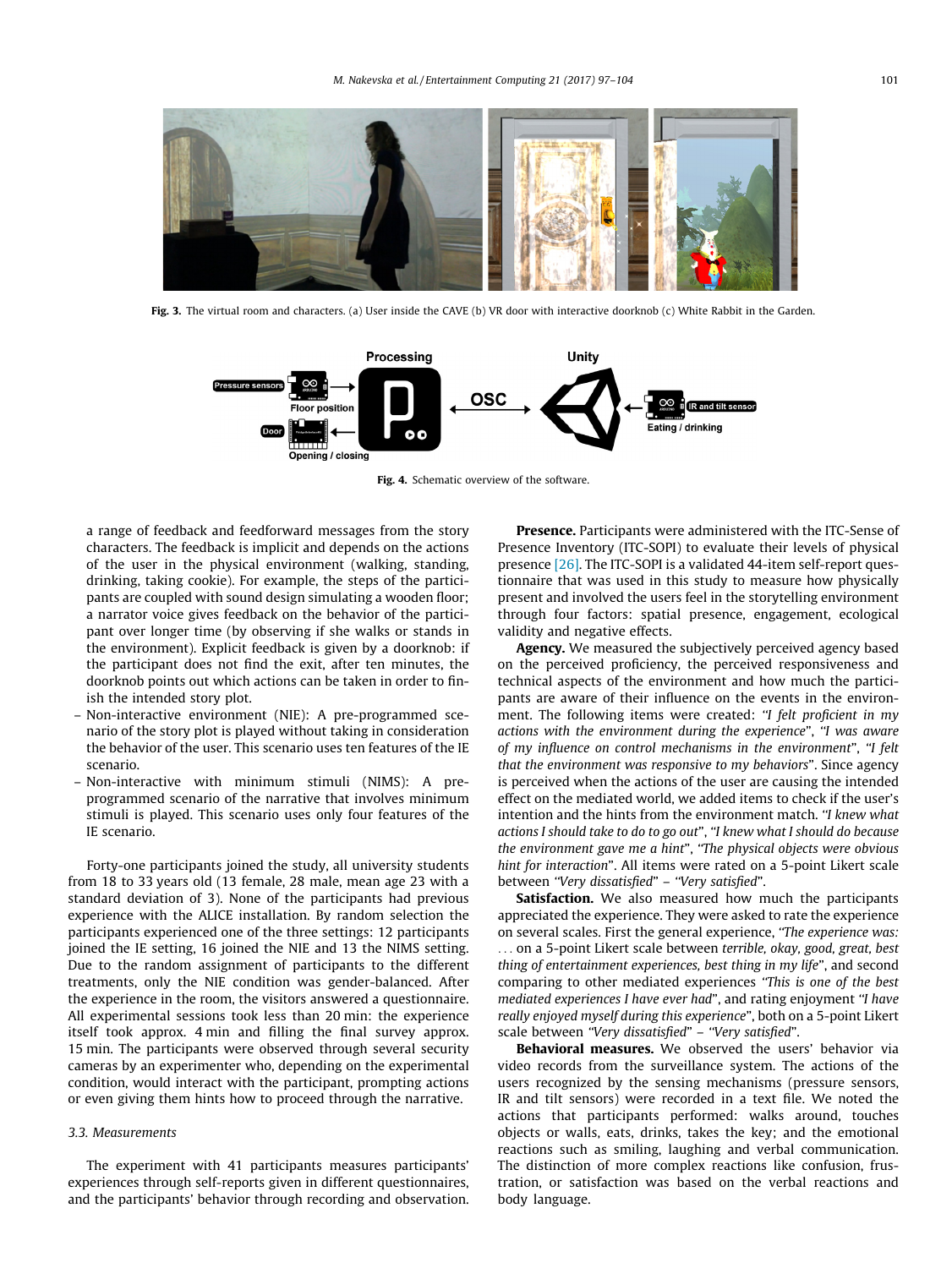<span id="page-4-0"></span>

Fig. 3. The virtual room and characters. (a) User inside the CAVE (b) VR door with interactive doorknob (c) White Rabbit in the Garden.



Fig. 4. Schematic overview of the software.

a range of feedback and feedforward messages from the story characters. The feedback is implicit and depends on the actions of the user in the physical environment (walking, standing, drinking, taking cookie). For example, the steps of the participants are coupled with sound design simulating a wooden floor; a narrator voice gives feedback on the behavior of the participant over longer time (by observing if she walks or stands in the environment). Explicit feedback is given by a doorknob: if the participant does not find the exit, after ten minutes, the doorknob points out which actions can be taken in order to finish the intended story plot.

- Non-interactive environment (NIE): A pre-programmed scenario of the story plot is played without taking in consideration the behavior of the user. This scenario uses ten features of the IE scenario.
- Non-interactive with minimum stimuli (NIMS): A preprogrammed scenario of the narrative that involves minimum stimuli is played. This scenario uses only four features of the IE scenario.

Forty-one participants joined the study, all university students from 18 to 33 years old (13 female, 28 male, mean age 23 with a standard deviation of 3). None of the participants had previous experience with the ALICE installation. By random selection the participants experienced one of the three settings: 12 participants joined the IE setting, 16 joined the NIE and 13 the NIMS setting. Due to the random assignment of participants to the different treatments, only the NIE condition was gender-balanced. After the experience in the room, the visitors answered a questionnaire. All experimental sessions took less than 20 min: the experience itself took approx. 4 min and filling the final survey approx. 15 min. The participants were observed through several security cameras by an experimenter who, depending on the experimental condition, would interact with the participant, prompting actions or even giving them hints how to proceed through the narrative.

## 3.3. Measurements

The experiment with 41 participants measures participants' experiences through self-reports given in different questionnaires, and the participants' behavior through recording and observation.

Presence. Participants were administered with the ITC-Sense of Presence Inventory (ITC-SOPI) to evaluate their levels of physical presence [\[26\]](#page-7-0). The ITC-SOPI is a validated 44-item self-report questionnaire that was used in this study to measure how physically present and involved the users feel in the storytelling environment through four factors: spatial presence, engagement, ecological validity and negative effects.

Agency. We measured the subjectively perceived agency based on the perceived proficiency, the perceived responsiveness and technical aspects of the environment and how much the participants are aware of their influence on the events in the environment. The following items were created: "I felt proficient in my actions with the environment during the experience", ''I was aware of my influence on control mechanisms in the environment", ''I felt that the environment was responsive to my behaviors". Since agency is perceived when the actions of the user are causing the intended effect on the mediated world, we added items to check if the user's intention and the hints from the environment match. "I knew what actions I should take to do to go out", ''I knew what I should do because the environment gave me a hint", ''The physical objects were obvious hint for interaction". All items were rated on a 5-point Likert scale between "Very dissatisfied" - "Very satisfied".

Satisfaction. We also measured how much the participants appreciated the experience. They were asked to rate the experience on several scales. First the general experience, ''The experience was:

... on a 5-point Likert scale between terrible, okay, good, great, best thing of entertainment experiences, best thing in my life", and second comparing to other mediated experiences ''This is one of the best mediated experiences I have ever had", and rating enjoyment ''I have really enjoyed myself during this experience", both on a 5-point Likert scale between "Very dissatisfied" - "Very satisfied".

Behavioral measures. We observed the users' behavior via video records from the surveillance system. The actions of the users recognized by the sensing mechanisms (pressure sensors, IR and tilt sensors) were recorded in a text file. We noted the actions that participants performed: walks around, touches objects or walls, eats, drinks, takes the key; and the emotional reactions such as smiling, laughing and verbal communication. The distinction of more complex reactions like confusion, frustration, or satisfaction was based on the verbal reactions and body language.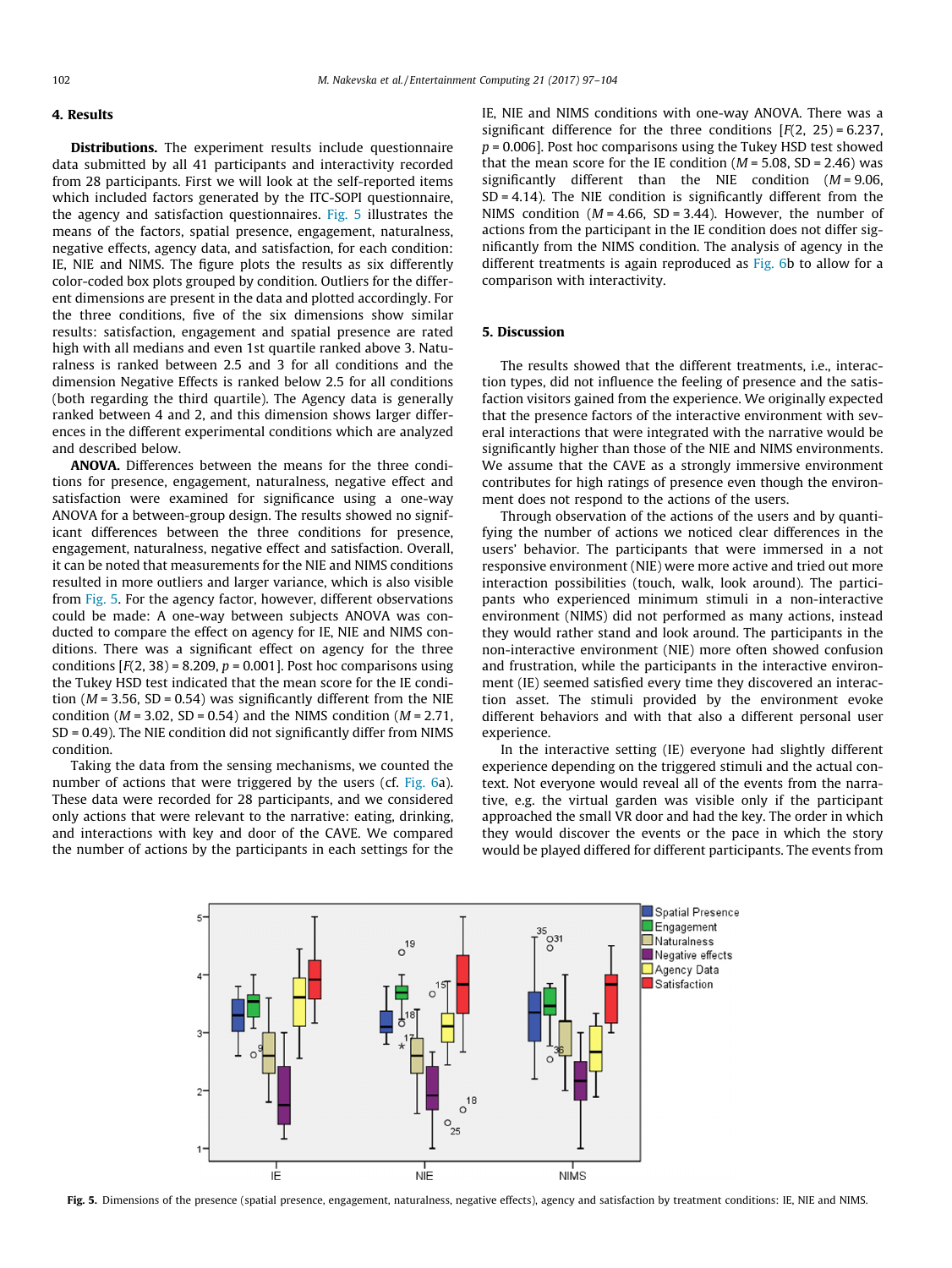# 4. Results

**Distributions.** The experiment results include questionnaire data submitted by all 41 participants and interactivity recorded from 28 participants. First we will look at the self-reported items which included factors generated by the ITC-SOPI questionnaire, the agency and satisfaction questionnaires. Fig. 5 illustrates the means of the factors, spatial presence, engagement, naturalness, negative effects, agency data, and satisfaction, for each condition: IE, NIE and NIMS. The figure plots the results as six differently color-coded box plots grouped by condition. Outliers for the different dimensions are present in the data and plotted accordingly. For the three conditions, five of the six dimensions show similar results: satisfaction, engagement and spatial presence are rated high with all medians and even 1st quartile ranked above 3. Naturalness is ranked between 2.5 and 3 for all conditions and the dimension Negative Effects is ranked below 2.5 for all conditions (both regarding the third quartile). The Agency data is generally ranked between 4 and 2, and this dimension shows larger differences in the different experimental conditions which are analyzed and described below.

ANOVA. Differences between the means for the three conditions for presence, engagement, naturalness, negative effect and satisfaction were examined for significance using a one-way ANOVA for a between-group design. The results showed no significant differences between the three conditions for presence, engagement, naturalness, negative effect and satisfaction. Overall, it can be noted that measurements for the NIE and NIMS conditions resulted in more outliers and larger variance, which is also visible from Fig. 5. For the agency factor, however, different observations could be made: A one-way between subjects ANOVA was conducted to compare the effect on agency for IE, NIE and NIMS conditions. There was a significant effect on agency for the three conditions  $[F(2, 38) = 8.209, p = 0.001]$ . Post hoc comparisons using the Tukey HSD test indicated that the mean score for the IE condition ( $M = 3.56$ , SD = 0.54) was significantly different from the NIE condition ( $M = 3.02$ , SD = 0.54) and the NIMS condition ( $M = 2.71$ , SD = 0.49). The NIE condition did not significantly differ from NIMS condition.

Taking the data from the sensing mechanisms, we counted the number of actions that were triggered by the users (cf. [Fig. 6a](#page-6-0)). These data were recorded for 28 participants, and we considered only actions that were relevant to the narrative: eating, drinking, and interactions with key and door of the CAVE. We compared the number of actions by the participants in each settings for the IE, NIE and NIMS conditions with one-way ANOVA. There was a significant difference for the three conditions  $[F(2, 25) = 6.237]$ .  $p = 0.006$ ]. Post hoc comparisons using the Tukey HSD test showed that the mean score for the IE condition ( $M = 5.08$ , SD = 2.46) was significantly different than the NIE condition  $(M = 9.06,$  $SD = 4.14$ ). The NIE condition is significantly different from the NIMS condition ( $M = 4.66$ , SD = 3.44). However, the number of actions from the participant in the IE condition does not differ significantly from the NIMS condition. The analysis of agency in the different treatments is again reproduced as [Fig. 6](#page-6-0)b to allow for a comparison with interactivity.

# 5. Discussion

The results showed that the different treatments, i.e., interaction types, did not influence the feeling of presence and the satisfaction visitors gained from the experience. We originally expected that the presence factors of the interactive environment with several interactions that were integrated with the narrative would be significantly higher than those of the NIE and NIMS environments. We assume that the CAVE as a strongly immersive environment contributes for high ratings of presence even though the environment does not respond to the actions of the users.

Through observation of the actions of the users and by quantifying the number of actions we noticed clear differences in the users' behavior. The participants that were immersed in a not responsive environment (NIE) were more active and tried out more interaction possibilities (touch, walk, look around). The participants who experienced minimum stimuli in a non-interactive environment (NIMS) did not performed as many actions, instead they would rather stand and look around. The participants in the non-interactive environment (NIE) more often showed confusion and frustration, while the participants in the interactive environment (IE) seemed satisfied every time they discovered an interaction asset. The stimuli provided by the environment evoke different behaviors and with that also a different personal user experience.

In the interactive setting (IE) everyone had slightly different experience depending on the triggered stimuli and the actual context. Not everyone would reveal all of the events from the narrative, e.g. the virtual garden was visible only if the participant approached the small VR door and had the key. The order in which they would discover the events or the pace in which the story would be played differed for different participants. The events from



Fig. 5. Dimensions of the presence (spatial presence, engagement, naturalness, negative effects), agency and satisfaction by treatment conditions: IE, NIE and NIMS.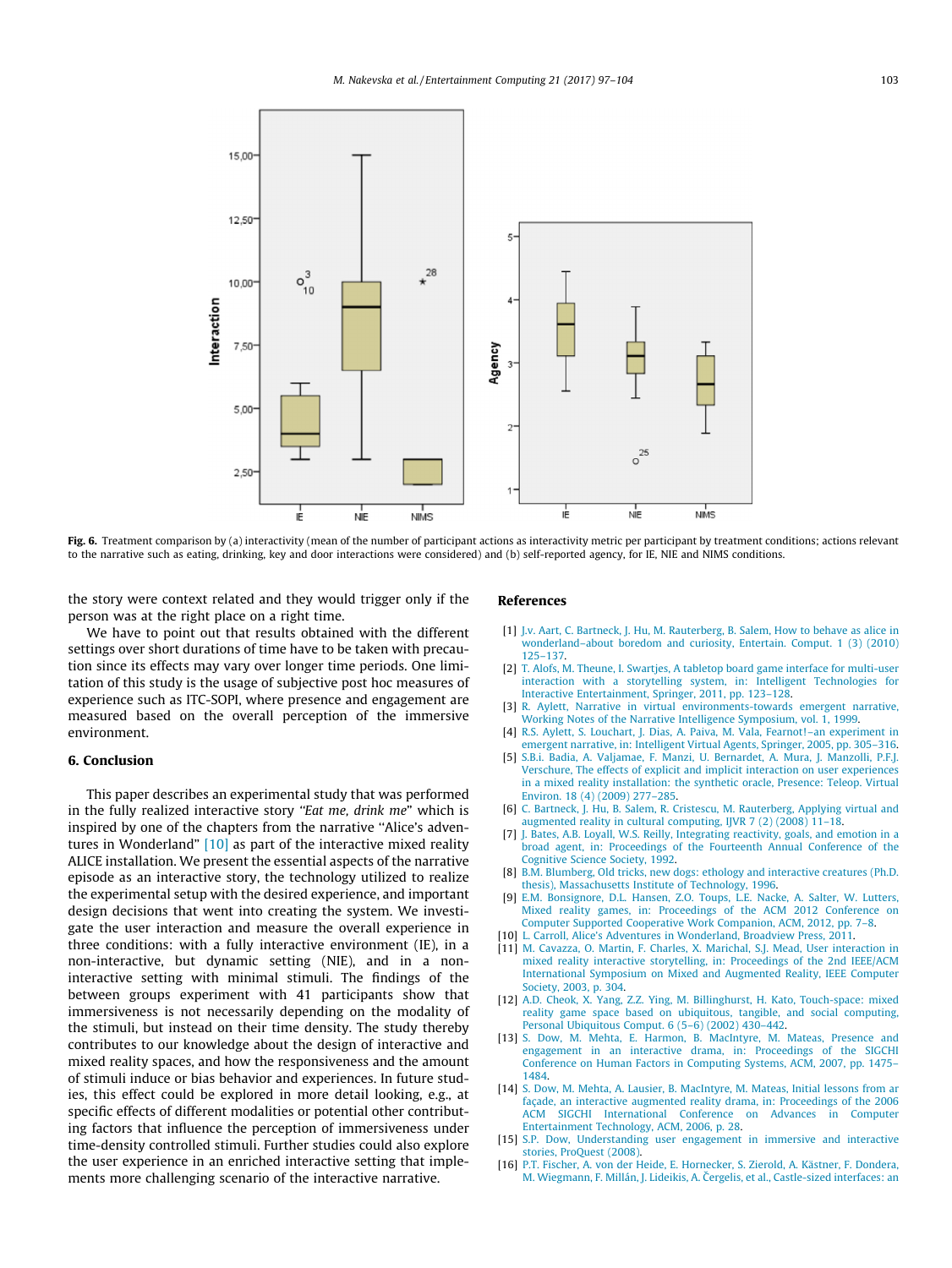<span id="page-6-0"></span>

Fig. 6. Treatment comparison by (a) interactivity (mean of the number of participant actions as interactivity metric per participant by treatment conditions; actions relevant to the narrative such as eating, drinking, key and door interactions were considered) and (b) self-reported agency, for IE, NIE and NIMS conditions.

the story were context related and they would trigger only if the person was at the right place on a right time.

We have to point out that results obtained with the different settings over short durations of time have to be taken with precaution since its effects may vary over longer time periods. One limitation of this study is the usage of subjective post hoc measures of experience such as ITC-SOPI, where presence and engagement are measured based on the overall perception of the immersive environment.

#### 6. Conclusion

This paper describes an experimental study that was performed in the fully realized interactive story "Eat me, drink me" which is inspired by one of the chapters from the narrative ''Alice's adventures in Wonderland" [10] as part of the interactive mixed reality ALICE installation. We present the essential aspects of the narrative episode as an interactive story, the technology utilized to realize the experimental setup with the desired experience, and important design decisions that went into creating the system. We investigate the user interaction and measure the overall experience in three conditions: with a fully interactive environment (IE), in a non-interactive, but dynamic setting (NIE), and in a noninteractive setting with minimal stimuli. The findings of the between groups experiment with 41 participants show that immersiveness is not necessarily depending on the modality of the stimuli, but instead on their time density. The study thereby contributes to our knowledge about the design of interactive and mixed reality spaces, and how the responsiveness and the amount of stimuli induce or bias behavior and experiences. In future studies, this effect could be explored in more detail looking, e.g., at specific effects of different modalities or potential other contributing factors that influence the perception of immersiveness under time-density controlled stimuli. Further studies could also explore the user experience in an enriched interactive setting that implements more challenging scenario of the interactive narrative.

## References

- [1] [J.v. Aart, C. Bartneck, J. Hu, M. Rauterberg, B. Salem, How to behave as alice in](http://refhub.elsevier.com/S1875-9521(17)30004-6/h0005) [wonderland–about boredom and curiosity, Entertain. Comput. 1 \(3\) \(2010\)](http://refhub.elsevier.com/S1875-9521(17)30004-6/h0005) [125–137](http://refhub.elsevier.com/S1875-9521(17)30004-6/h0005).
- [2] [T. Alofs, M. Theune, I. Swartjes, A tabletop board game interface for multi-user](http://refhub.elsevier.com/S1875-9521(17)30004-6/h0010) [interaction with a storytelling system, in: Intelligent Technologies for](http://refhub.elsevier.com/S1875-9521(17)30004-6/h0010) [Interactive Entertainment, Springer, 2011, pp. 123–128.](http://refhub.elsevier.com/S1875-9521(17)30004-6/h0010)
- [3] [R. Aylett, Narrative in virtual environments-towards emergent narrative,](http://refhub.elsevier.com/S1875-9521(17)30004-6/h0015) [Working Notes of the Narrative Intelligence Symposium, vol. 1, 1999.](http://refhub.elsevier.com/S1875-9521(17)30004-6/h0015)
- [4] [R.S. Aylett, S. Louchart, J. Dias, A. Paiva, M. Vala, Fearnot!–an experiment in](http://refhub.elsevier.com/S1875-9521(17)30004-6/h0020) [emergent narrative, in: Intelligent Virtual Agents, Springer, 2005, pp. 305–316.](http://refhub.elsevier.com/S1875-9521(17)30004-6/h0020)
- [5] [S.B.i. Badia, A. Valjamae, F. Manzi, U. Bernardet, A. Mura, J. Manzolli, P.F.J.](http://refhub.elsevier.com/S1875-9521(17)30004-6/h0025) [Verschure, The effects of explicit and implicit interaction on user experiences](http://refhub.elsevier.com/S1875-9521(17)30004-6/h0025) [in a mixed reality installation: the synthetic oracle, Presence: Teleop. Virtual](http://refhub.elsevier.com/S1875-9521(17)30004-6/h0025) [Environ. 18 \(4\) \(2009\) 277–285.](http://refhub.elsevier.com/S1875-9521(17)30004-6/h0025)
- [6] [C. Bartneck, J. Hu, B. Salem, R. Cristescu, M. Rauterberg, Applying virtual and](http://refhub.elsevier.com/S1875-9521(17)30004-6/h0030) [augmented reality in cultural computing, IJVR 7 \(2\) \(2008\) 11–18.](http://refhub.elsevier.com/S1875-9521(17)30004-6/h0030)
- [J. Bates, A.B. Loyall, W.S. Reilly, Integrating reactivity, goals, and emotion in a](http://refhub.elsevier.com/S1875-9521(17)30004-6/h0035) [broad agent, in: Proceedings of the Fourteenth Annual Conference of the](http://refhub.elsevier.com/S1875-9521(17)30004-6/h0035) [Cognitive Science Society, 1992](http://refhub.elsevier.com/S1875-9521(17)30004-6/h0035).
- [8] [B.M. Blumberg, Old tricks, new dogs: ethology and interactive creatures \(Ph.D.](http://refhub.elsevier.com/S1875-9521(17)30004-6/h0040) [thesis\), Massachusetts Institute of Technology, 1996.](http://refhub.elsevier.com/S1875-9521(17)30004-6/h0040)
- [9] [E.M. Bonsignore, D.L. Hansen, Z.O. Toups, L.E. Nacke, A. Salter, W. Lutters,](http://refhub.elsevier.com/S1875-9521(17)30004-6/h0045) [Mixed reality games, in: Proceedings of the ACM 2012 Conference on](http://refhub.elsevier.com/S1875-9521(17)30004-6/h0045) [Computer Supported Cooperative Work Companion, ACM, 2012, pp. 7–8](http://refhub.elsevier.com/S1875-9521(17)30004-6/h0045).
- [10] [L. Carroll, Alice's Adventures in Wonderland, Broadview Press, 2011.](http://refhub.elsevier.com/S1875-9521(17)30004-6/h0050)
- [11] [M. Cavazza, O. Martin, F. Charles, X. Marichal, S.J. Mead, User interaction in](http://refhub.elsevier.com/S1875-9521(17)30004-6/h0055) [mixed reality interactive storytelling, in: Proceedings of the 2nd IEEE/ACM](http://refhub.elsevier.com/S1875-9521(17)30004-6/h0055) [International Symposium on Mixed and Augmented Reality, IEEE Computer](http://refhub.elsevier.com/S1875-9521(17)30004-6/h0055) [Society, 2003, p. 304](http://refhub.elsevier.com/S1875-9521(17)30004-6/h0055).
- [12] [A.D. Cheok, X. Yang, Z.Z. Ying, M. Billinghurst, H. Kato, Touch-space: mixed](http://refhub.elsevier.com/S1875-9521(17)30004-6/h0060) [reality game space based on ubiquitous, tangible, and social computing,](http://refhub.elsevier.com/S1875-9521(17)30004-6/h0060) [Personal Ubiquitous Comput. 6 \(5–6\) \(2002\) 430–442](http://refhub.elsevier.com/S1875-9521(17)30004-6/h0060).
- [13] [S. Dow, M. Mehta, E. Harmon, B. MacIntyre, M. Mateas, Presence and](http://refhub.elsevier.com/S1875-9521(17)30004-6/h0065) [engagement in an interactive drama, in: Proceedings of the SIGCHI](http://refhub.elsevier.com/S1875-9521(17)30004-6/h0065) [Conference on Human Factors in Computing Systems, ACM, 2007, pp. 1475–](http://refhub.elsevier.com/S1875-9521(17)30004-6/h0065) [1484](http://refhub.elsevier.com/S1875-9521(17)30004-6/h0065).
- [14] [S. Dow, M. Mehta, A. Lausier, B. MacIntyre, M. Mateas, Initial lessons from ar](http://refhub.elsevier.com/S1875-9521(17)30004-6/h0070) [façade, an interactive augmented reality drama, in: Proceedings of the 2006](http://refhub.elsevier.com/S1875-9521(17)30004-6/h0070) [ACM SIGCHI International Conference on Advances in Computer](http://refhub.elsevier.com/S1875-9521(17)30004-6/h0070) [Entertainment Technology, ACM, 2006, p. 28](http://refhub.elsevier.com/S1875-9521(17)30004-6/h0070).
- [15] [S.P. Dow, Understanding user engagement in immersive and interactive](http://refhub.elsevier.com/S1875-9521(17)30004-6/h0075) [stories, ProQuest \(2008\)](http://refhub.elsevier.com/S1875-9521(17)30004-6/h0075).
- [16] [P.T. Fischer, A. von der Heide, E. Hornecker, S. Zierold, A. Kästner, F. Dondera,](http://refhub.elsevier.com/S1875-9521(17)30004-6/h0080) M. Wiegmann, F. Millán, J. Lideikis, A. Čergelis, et al., Castle-sized interfaces: an